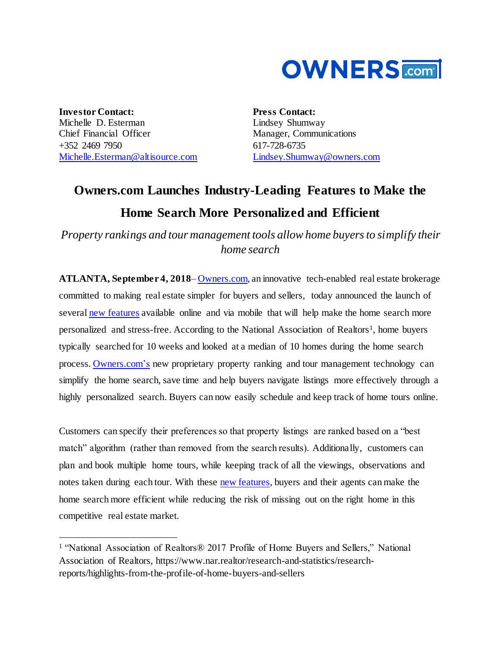

**Investor Contact:** Michelle D. Esterman Chief Financial Officer +352 2469 7950 [Michelle.Esterman@altisource.com](mailto:Michelle.Esterman@altisource.com)

l

**Press Contact:** Lindsey Shumway Manager, Communications 617-728-6735 [Lindsey.Shumway@owners.com](mailto:lindsey.shumway@owners.com)

## **Owners.com Launches Industry-Leading Features to Make the Home Search More Personalized and Efficient**

*Property rankings and tour management tools allow home buyers to simplify their home search* 

**ATLANTA, September 4, 2018**– [Owners.com,](https://www.owners.com/?utm_source=PR&utm_medium=PR&utm_campaign=TourManager&utm_content=first) an innovative tech-enabled real estate brokerage committed to making real estate simpler for buyers and sellers, today announced the launch of several [new features](https://youtu.be/REyYeRVkq6c) available online and via mobile that will help make the home search more personalized and stress-free. According to the National Association of Realtors<sup>1</sup>, home buyers typically searched for 10 weeks and looked at a median of 10 homes during the home search process. [Owners.com's](https://www.owners.com/?utm_source=PR&utm_medium=PR&utm_campaign=TourManager&utm_content=first) new proprietary property ranking and tour management technology can simplify the home search, save time and help buyers navigate listings more effectively through a highly personalized search. Buyers can now easily schedule and keep track of home tours online.

Customers can specify their preferences so that property listings are ranked based on a "best match" algorithm (rather than removed from the search results). Additionally, customers can plan and book multiple home tours, while keeping track of all the viewings, observations and notes taken during each tour. With these [new features,](https://youtu.be/REyYeRVkq6c) buyers and their agents can make the home search more efficient while reducing the risk of missing out on the right home in this competitive real estate market.

<sup>1</sup> "National Association of Realtors® 2017 Profile of Home Buyers and Sellers," National Association of Realtors, https://www.nar.realtor/research-and-statistics/researchreports/highlights-from-the-profile-of-home-buyers-and-sellers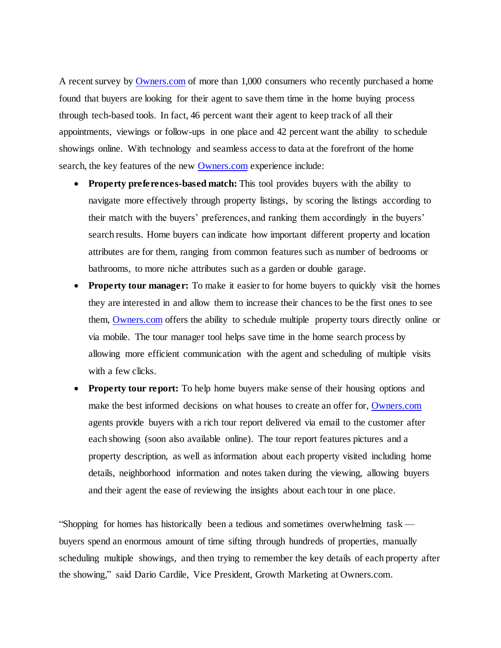A recent survey by [Owners.com](https://www.owners.com/?utm_source=PR&utm_medium=PR&utm_campaign=TourManager&utm_content=first) of more than 1,000 consumers who recently purchased a home found that buyers are looking for their agent to save them time in the home buying process through tech-based tools. In fact, 46 percent want their agent to keep track of all their appointments, viewings or follow-ups in one place and 42 percent want the ability to schedule showings online. With technology and seamless access to data at the forefront of the home search, the key features of the new [Owners.com](https://www.owners.com/?utm_source=PR&utm_medium=PR&utm_campaign=TourManager&utm_content=first) experience include:

- **Property preferences-based match:** This tool provides buyers with the ability to navigate more effectively through property listings, by scoring the listings according to their match with the buyers' preferences, and ranking them accordingly in the buyers' search results. Home buyers can indicate how important different property and location attributes are for them, ranging from common features such as number of bedrooms or bathrooms, to more niche attributes such as a garden or double garage.
- **Property tour manager:** To make it easier to for home buyers to quickly visit the homes they are interested in and allow them to increase their chances to be the first ones to see them, [Owners.com](https://www.owners.com/?utm_source=PR&utm_medium=PR&utm_campaign=TourManager&utm_content=first) offers the ability to schedule multiple property tours directly online or via mobile. The tour manager tool helps save time in the home search process by allowing more efficient communication with the agent and scheduling of multiple visits with a few clicks.
- **Property tour report:** To help home buyers make sense of their housing options and make the best informed decisions on what houses to create an offer for, [Owners.com](https://www.owners.com/?utm_source=PR&utm_medium=PR&utm_campaign=TourManager&utm_content=first) agents provide buyers with a rich tour report delivered via email to the customer after each showing (soon also available online). The tour report features pictures and a property description, as well as information about each property visited including home details, neighborhood information and notes taken during the viewing, allowing buyers and their agent the ease of reviewing the insights about each tour in one place.

"Shopping for homes has historically been a tedious and sometimes overwhelming task buyers spend an enormous amount of time sifting through hundreds of properties, manually scheduling multiple showings, and then trying to remember the key details of each property after the showing," said Dario Cardile, Vice President, Growth Marketing at Owners.com.